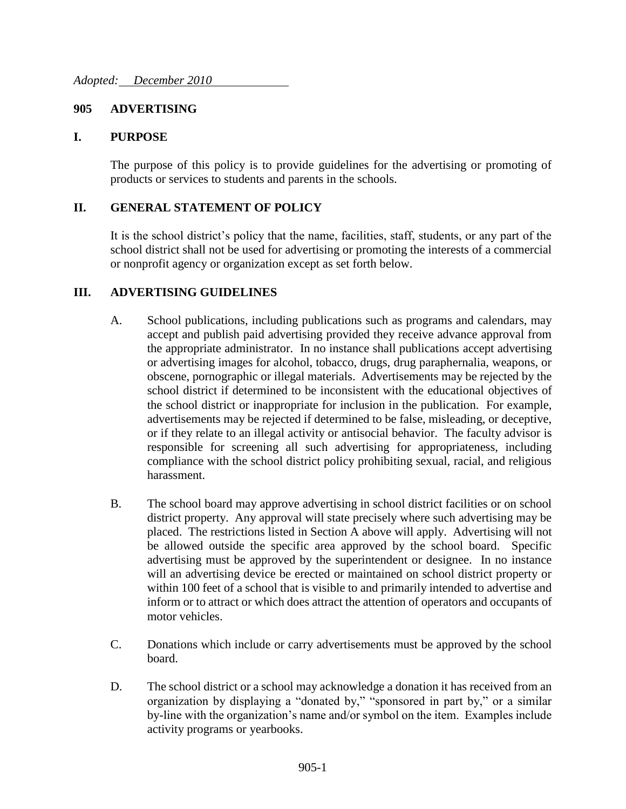## **905 ADVERTISING**

### **I. PURPOSE**

The purpose of this policy is to provide guidelines for the advertising or promoting of products or services to students and parents in the schools.

### **II. GENERAL STATEMENT OF POLICY**

It is the school district's policy that the name, facilities, staff, students, or any part of the school district shall not be used for advertising or promoting the interests of a commercial or nonprofit agency or organization except as set forth below.

#### **III. ADVERTISING GUIDELINES**

- A. School publications, including publications such as programs and calendars, may accept and publish paid advertising provided they receive advance approval from the appropriate administrator. In no instance shall publications accept advertising or advertising images for alcohol, tobacco, drugs, drug paraphernalia, weapons, or obscene, pornographic or illegal materials. Advertisements may be rejected by the school district if determined to be inconsistent with the educational objectives of the school district or inappropriate for inclusion in the publication. For example, advertisements may be rejected if determined to be false, misleading, or deceptive, or if they relate to an illegal activity or antisocial behavior. The faculty advisor is responsible for screening all such advertising for appropriateness, including compliance with the school district policy prohibiting sexual, racial, and religious harassment.
- B. The school board may approve advertising in school district facilities or on school district property. Any approval will state precisely where such advertising may be placed. The restrictions listed in Section A above will apply. Advertising will not be allowed outside the specific area approved by the school board. Specific advertising must be approved by the superintendent or designee. In no instance will an advertising device be erected or maintained on school district property or within 100 feet of a school that is visible to and primarily intended to advertise and inform or to attract or which does attract the attention of operators and occupants of motor vehicles.
- C. Donations which include or carry advertisements must be approved by the school board.
- D. The school district or a school may acknowledge a donation it has received from an organization by displaying a "donated by," "sponsored in part by," or a similar by-line with the organization's name and/or symbol on the item. Examples include activity programs or yearbooks.